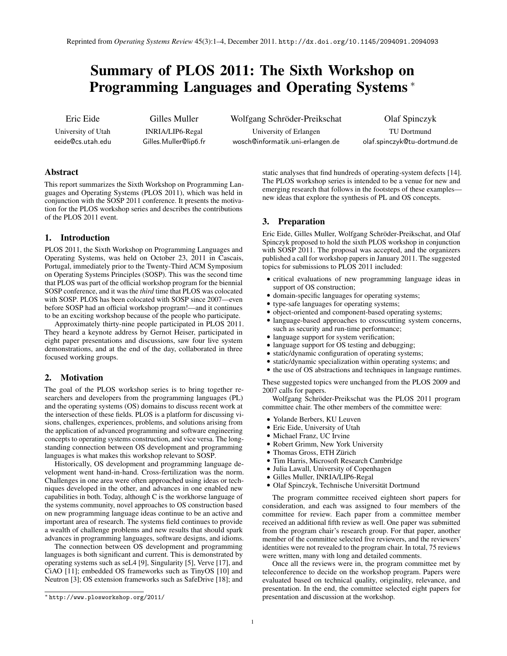# Summary of PLOS 2011: The Sixth Workshop on Programming Languages and Operating Systems <sup>∗</sup>

Eric Eide University of Utah

eeide@cs.utah.edu

Gilles Muller INRIA/LIP6-Regal Gilles.Muller@lip6.fr Wolfgang Schröder-Preikschat

University of Erlangen wosch@informatik.uni-erlangen.de Olaf Spinczyk

TU Dortmund olaf.spinczyk@tu-dortmund.de

## Abstract

This report summarizes the Sixth Workshop on Programming Languages and Operating Systems (PLOS 2011), which was held in conjunction with the SOSP 2011 conference. It presents the motivation for the PLOS workshop series and describes the contributions of the PLOS 2011 event.

## 1. Introduction

PLOS 2011, the Sixth Workshop on Programming Languages and Operating Systems, was held on October 23, 2011 in Cascais, Portugal, immediately prior to the Twenty-Third ACM Symposium on Operating Systems Principles (SOSP). This was the second time that PLOS was part of the official workshop program for the biennial SOSP conference, and it was the *third* time that PLOS was colocated with SOSP. PLOS has been colocated with SOSP since 2007—even before SOSP had an official workshop program!—and it continues to be an exciting workshop because of the people who participate.

Approximately thirty-nine people participated in PLOS 2011. They heard a keynote address by Gernot Heiser, participated in eight paper presentations and discussions, saw four live system demonstrations, and at the end of the day, collaborated in three focused working groups.

## 2. Motivation

The goal of the PLOS workshop series is to bring together researchers and developers from the programming languages (PL) and the operating systems (OS) domains to discuss recent work at the intersection of these fields. PLOS is a platform for discussing visions, challenges, experiences, problems, and solutions arising from the application of advanced programming and software engineering concepts to operating systems construction, and vice versa. The longstanding connection between OS development and programming languages is what makes this workshop relevant to SOSP.

Historically, OS development and programming language development went hand-in-hand. Cross-fertilization was the norm. Challenges in one area were often approached using ideas or techniques developed in the other, and advances in one enabled new capabilities in both. Today, although C is the workhorse language of the systems community, novel approaches to OS construction based on new programming language ideas continue to be an active and important area of research. The systems field continues to provide a wealth of challenge problems and new results that should spark advances in programming languages, software designs, and idioms.

The connection between OS development and programming languages is both significant and current. This is demonstrated by operating systems such as seL4 [9], Singularity [5], Verve [17], and CiAO [11]; embedded OS frameworks such as TinyOS [10] and Neutron [3]; OS extension frameworks such as SafeDrive [18]; and

static analyses that find hundreds of operating-system defects [14]. The PLOS workshop series is intended to be a venue for new and emerging research that follows in the footsteps of these examples new ideas that explore the synthesis of PL and OS concepts.

## 3. Preparation

Eric Eide, Gilles Muller, Wolfgang Schröder-Preikschat, and Olaf Spinczyk proposed to hold the sixth PLOS workshop in conjunction with SOSP 2011. The proposal was accepted, and the organizers published a call for workshop papers in January 2011. The suggested topics for submissions to PLOS 2011 included:

- critical evaluations of new programming language ideas in support of OS construction;
- domain-specific languages for operating systems;
- type-safe languages for operating systems;
- object-oriented and component-based operating systems;
- language-based approaches to crosscutting system concerns, such as security and run-time performance;
- language support for system verification;
- language support for OS testing and debugging;
- static/dynamic configuration of operating systems;
- static/dynamic specialization within operating systems; and
- the use of OS abstractions and techniques in language runtimes.

These suggested topics were unchanged from the PLOS 2009 and 2007 calls for papers.

Wolfgang Schröder-Preikschat was the PLOS 2011 program committee chair. The other members of the committee were:

- Yolande Berbers, KU Leuven
- Eric Eide, University of Utah
- Michael Franz, UC Irvine
- Robert Grimm, New York University
- Thomas Gross, ETH Zürich
- Tim Harris, Microsoft Research Cambridge
- Julia Lawall, University of Copenhagen
- Gilles Muller, INRIA/LIP6-Regal
- Olaf Spinczyk, Technische Universität Dortmund

The program committee received eighteen short papers for consideration, and each was assigned to four members of the committee for review. Each paper from a committee member received an additional fifth review as well. One paper was submitted from the program chair's research group. For that paper, another member of the committee selected five reviewers, and the reviewers' identities were not revealed to the program chair. In total, 75 reviews were written, many with long and detailed comments.

Once all the reviews were in, the program committee met by teleconference to decide on the workshop program. Papers were evaluated based on technical quality, originality, relevance, and presentation. In the end, the committee selected eight papers for presentation and discussion at the workshop.

<sup>∗</sup> http://www.plosworkshop.org/2011/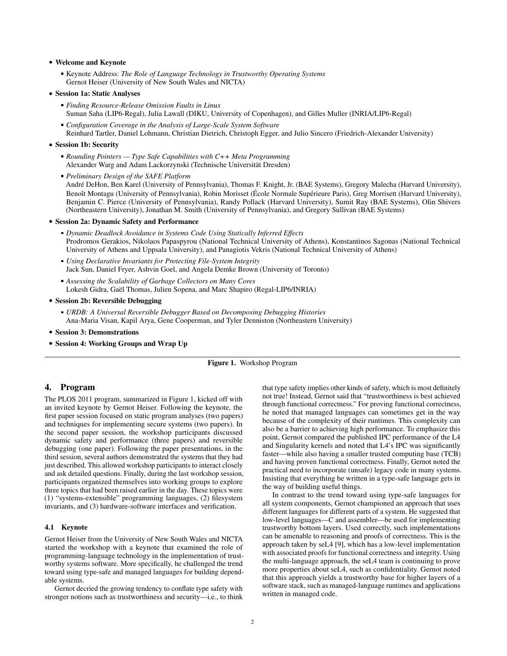## • Welcome and Keynote

- Keynote Address: *The Role of Language Technology in Trustworthy Operating Systems* Gernot Heiser (University of New South Wales and NICTA)
- Session 1a: Static Analyses
	- *Finding Resource-Release Omission Faults in Linux* Suman Saha (LIP6-Regal), Julia Lawall (DIKU, University of Copenhagen), and Gilles Muller (INRIA/LIP6-Regal)
	- *Configuration Coverage in the Analysis of Large-Scale System Software* Reinhard Tartler, Daniel Lohmann, Christian Dietrich, Christoph Egger, and Julio Sincero (Friedrich-Alexander University)

#### • Session 1b: Security

*Rounding Pointers — Type Safe Capabilities with C++ Meta Programming* Alexander Warg and Adam Lackorzynski (Technische Universität Dresden)

*Preliminary Design of the SAFE Platform* André DeHon, Ben Karel (University of Pennsylvania), Thomas F. Knight, Jr. (BAE Systems), Gregory Malecha (Harvard University), Benoît Montagu (University of Pennsylvania), Robin Morisset (École Normale Supérieure Paris), Greg Morrisett (Harvard University), Benjamin C. Pierce (University of Pennsylvania), Randy Pollack (Harvard University), Sumit Ray (BAE Systems), Olin Shivers (Northeastern University), Jonathan M. Smith (University of Pennsylvania), and Gregory Sullivan (BAE Systems)

#### • Session 2a: Dynamic Safety and Performance

- *Dynamic Deadlock Avoidance in Systems Code Using Statically Inferred Effects* Prodromos Gerakios, Nikolaos Papaspyrou (National Technical University of Athens), Konstantinos Sagonas (National Technical University of Athens and Uppsala University), and Panagiotis Vekris (National Technical University of Athens)
- *Using Declarative Invariants for Protecting File-System Integrity* Jack Sun, Daniel Fryer, Ashvin Goel, and Angela Demke Brown (University of Toronto)
- *Assessing the Scalability of Garbage Collectors on Many Cores* Lokesh Gidra, Gaël Thomas, Julien Sopena, and Marc Shapiro (Regal-LIP6/INRIA)
- Session 2b: Reversible Debugging
	- *URDB: A Universal Reversible Debugger Based on Decomposing Debugging Histories* Ana-Maria Visan, Kapil Arya, Gene Cooperman, and Tyler Denniston (Northeastern University)
- Session 3: Demonstrations
- Session 4: Working Groups and Wrap Up

### Figure 1. Workshop Program

## 4. Program

The PLOS 2011 program, summarized in Figure 1, kicked off with an invited keynote by Gernot Heiser. Following the keynote, the first paper session focused on static program analyses (two papers) and techniques for implementing secure systems (two papers). In the second paper session, the workshop participants discussed dynamic safety and performance (three papers) and reversible debugging (one paper). Following the paper presentations, in the third session, several authors demonstrated the systems that they had just described. This allowed workshop participants to interact closely and ask detailed questions. Finally, during the last workshop session, participants organized themselves into working groups to explore three topics that had been raised earlier in the day. These topics were (1) "systems-extensible" programming languages, (2) filesystem invariants, and (3) hardware-software interfaces and verification.

## 4.1 Keynote

Gernot Heiser from the University of New South Wales and NICTA started the workshop with a keynote that examined the role of programming-language technology in the implementation of trustworthy systems software. More specifically, he challenged the trend toward using type-safe and managed languages for building dependable systems.

Gernot decried the growing tendency to conflate type safety with stronger notions such as trustworthiness and security—i.e., to think that type safety implies other kinds of safety, which is most definitely not true! Instead, Gernot said that "trustworthiness is best achieved through functional correctness." For proving functional correctness, he noted that managed languages can sometimes get in the way because of the complexity of their runtimes. This complexity can also be a barrier to achieving high performance. To emphasize this point, Gernot compared the published IPC performance of the L4 and Singularity kernels and noted that L4's IPC was significantly faster—while also having a smaller trusted computing base (TCB) and having proven functional correctness. Finally, Gernot noted the practical need to incorporate (unsafe) legacy code in many systems. Insisting that everything be written in a type-safe language gets in the way of building useful things.

In contrast to the trend toward using type-safe languages for all system components, Gernot championed an approach that uses different languages for different parts of a system. He suggested that low-level languages—C and assembler—be used for implementing trustworthy bottom layers. Used correctly, such implementations can be amenable to reasoning and proofs of correctness. This is the approach taken by seL4 [9], which has a low-level implementation with associated proofs for functional correctness and integrity. Using the multi-language approach, the seL4 team is continuing to prove more properties about seL4, such as confidentiality. Gernot noted that this approach yields a trustworthy base for higher layers of a software stack, such as managed-language runtimes and applications written in managed code.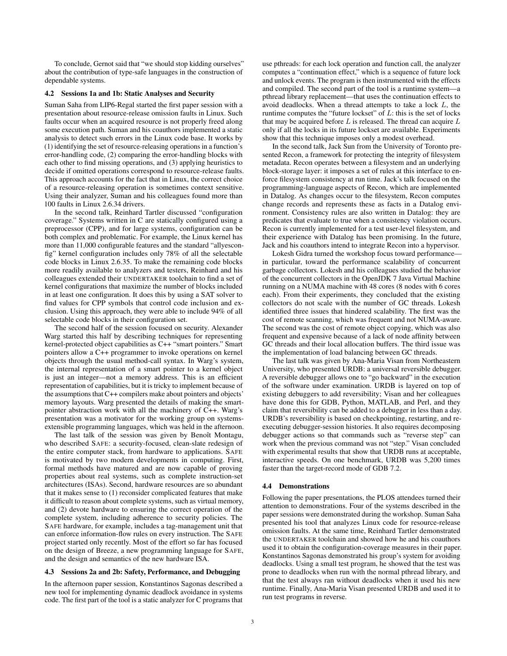To conclude, Gernot said that "we should stop kidding ourselves" about the contribution of type-safe languages in the construction of dependable systems.

#### 4.2 Sessions 1a and 1b: Static Analyses and Security

Suman Saha from LIP6-Regal started the first paper session with a presentation about resource-release omission faults in Linux. Such faults occur when an acquired resource is not properly freed along some execution path. Suman and his coauthors implemented a static analysis to detect such errors in the Linux code base. It works by (1) identifying the set of resource-releasing operations in a function's error-handling code, (2) comparing the error-handling blocks with each other to find missing operations, and (3) applying heuristics to decide if omitted operations correspond to resource-release faults. This approach accounts for the fact that in Linux, the correct choice of a resource-releasing operation is sometimes context sensitive. Using their analyzer, Suman and his colleagues found more than 100 faults in Linux 2.6.34 drivers.

In the second talk, Reinhard Tartler discussed "configuration coverage." Systems written in C are statically configured using a preprocessor (CPP), and for large systems, configuration can be both complex and problematic. For example, the Linux kernel has more than 11,000 configurable features and the standard "allyesconfig" kernel configuration includes only 78% of all the selectable code blocks in Linux 2.6.35. To make the remaining code blocks more readily available to analyzers and testers, Reinhard and his colleagues extended their UNDERTAKER toolchain to find a set of kernel configurations that maximize the number of blocks included in at least one configuration. It does this by using a SAT solver to find values for CPP symbols that control code inclusion and exclusion. Using this approach, they were able to include 94% of all selectable code blocks in their configuration set.

The second half of the session focused on security. Alexander Warg started this half by describing techniques for representing kernel-protected object capabilities as C++ "smart pointers." Smart pointers allow a C++ programmer to invoke operations on kernel objects through the usual method-call syntax. In Warg's system, the internal representation of a smart pointer to a kernel object is just an integer—not a memory address. This is an efficient representation of capabilities, but it is tricky to implement because of the assumptions that C++ compilers make about pointers and objects' memory layouts. Warg presented the details of making the smartpointer abstraction work with all the machinery of C++. Warg's presentation was a motivator for the working group on systemsextensible programming languages, which was held in the afternoon.

The last talk of the session was given by Benoît Montagu, who described SAFE: a security-focused, clean-slate redesign of the entire computer stack, from hardware to applications. SAFE is motivated by two modern developments in computing. First, formal methods have matured and are now capable of proving properties about real systems, such as complete instruction-set architectures (ISAs). Second, hardware resources are so abundant that it makes sense to (1) reconsider complicated features that make it difficult to reason about complete systems, such as virtual memory, and (2) devote hardware to ensuring the correct operation of the complete system, including adherence to security policies. The SAFE hardware, for example, includes a tag-management unit that can enforce information-flow rules on every instruction. The SAFE project started only recently. Most of the effort so far has focused on the design of Breeze, a new programming language for SAFE, and the design and semantics of the new hardware ISA.

#### 4.3 Sessions 2a and 2b: Safety, Performance, and Debugging

In the afternoon paper session, Konstantinos Sagonas described a new tool for implementing dynamic deadlock avoidance in systems code. The first part of the tool is a static analyzer for C programs that use pthreads: for each lock operation and function call, the analyzer computes a "continuation effect," which is a sequence of future lock and unlock events. The program is then instrumented with the effects and compiled. The second part of the tool is a runtime system—a pthread library replacement—that uses the continuation effects to avoid deadlocks. When a thread attempts to take a lock  $L$ , the runtime computes the "future lockset" of  $L$ : this is the set of locks that may be acquired before  $L$  is released. The thread can acquire  $L$ only if all the locks in its future lockset are available. Experiments show that this technique imposes only a modest overhead.

In the second talk, Jack Sun from the University of Toronto presented Recon, a framework for protecting the integrity of filesystem metadata. Recon operates between a filesystem and an underlying block-storage layer: it imposes a set of rules at this interface to enforce filesystem consistency at run time. Jack's talk focused on the programming-language aspects of Recon, which are implemented in Datalog. As changes occur to the filesystem, Recon computes change records and represents these as facts in a Datalog environment. Consistency rules are also written in Datalog: they are predicates that evaluate to true when a consistency violation occurs. Recon is currently implemented for a test user-level filesystem, and their experience with Datalog has been promising. In the future, Jack and his coauthors intend to integrate Recon into a hypervisor.

Lokesh Gidra turned the workshop focus toward performance in particular, toward the performance scalability of concurrent garbage collectors. Lokesh and his colleagues studied the behavior of the concurrent collectors in the OpenJDK 7 Java Virtual Machine running on a NUMA machine with 48 cores (8 nodes with 6 cores each). From their experiments, they concluded that the existing collectors do not scale with the number of GC threads. Lokesh identified three issues that hindered scalability. The first was the cost of remote scanning, which was frequent and not NUMA-aware. The second was the cost of remote object copying, which was also frequent and expensive because of a lack of node affinity between GC threads and their local allocation buffers. The third issue was the implementation of load balancing between GC threads.

The last talk was given by Ana-Maria Visan from Northeastern University, who presented URDB: a universal reversible debugger. A reversible debugger allows one to "go backward" in the execution of the software under examination. URDB is layered on top of existing debuggers to add reversibility; Visan and her colleagues have done this for GDB, Python, MATLAB, and Perl, and they claim that reversibility can be added to a debugger in less than a day. URDB's reversibility is based on checkpointing, restarting, and reexecuting debugger-session histories. It also requires decomposing debugger actions so that commands such as "reverse step" can work when the previous command was not "step." Visan concluded with experimental results that show that URDB runs at acceptable, interactive speeds. On one benchmark, URDB was 5,200 times faster than the target-record mode of GDB 7.2.

#### 4.4 Demonstrations

Following the paper presentations, the PLOS attendees turned their attention to demonstrations. Four of the systems described in the paper sessions were demonstrated during the workshop. Suman Saha presented his tool that analyzes Linux code for resource-release omission faults. At the same time, Reinhard Tartler demonstrated the UNDERTAKER toolchain and showed how he and his coauthors used it to obtain the configuration-coverage measures in their paper. Konstantinos Sagonas demonstrated his group's system for avoiding deadlocks. Using a small test program, he showed that the test was prone to deadlocks when run with the normal pthread library, and that the test always ran without deadlocks when it used his new runtime. Finally, Ana-Maria Visan presented URDB and used it to run test programs in reverse.